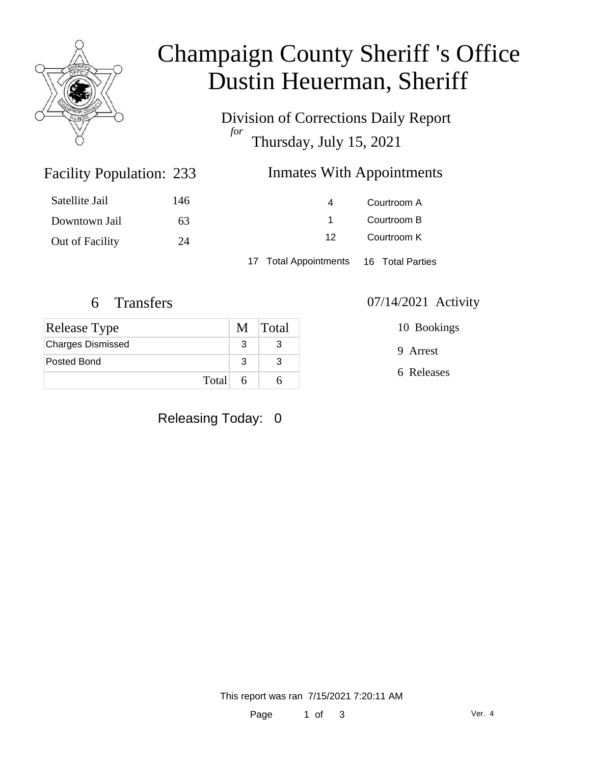

# Champaign County Sheriff 's Office Dustin Heuerman, Sheriff

Division of Corrections Daily Report *for* Thursday, July 15, 2021

### Inmates With Appointments

| Satellite Jail  | 146 | $\overline{a}$                         | Courtroom A |  |
|-----------------|-----|----------------------------------------|-------------|--|
| Downtown Jail   | 63  |                                        | Courtroom B |  |
| Out of Facility | 24  | 12                                     | Courtroom K |  |
|                 |     | 17 Total Appointments 16 Total Parties |             |  |

Facility Population: 233

| Release Type             |   | M Total |
|--------------------------|---|---------|
| <b>Charges Dismissed</b> |   |         |
| Posted Bond              |   |         |
| Total                    | h |         |

Releasing Today: 0

6 Transfers 07/14/2021 Activity

10 Bookings

9 Arrest

6 Releases

This report was ran 7/15/2021 7:20:11 AM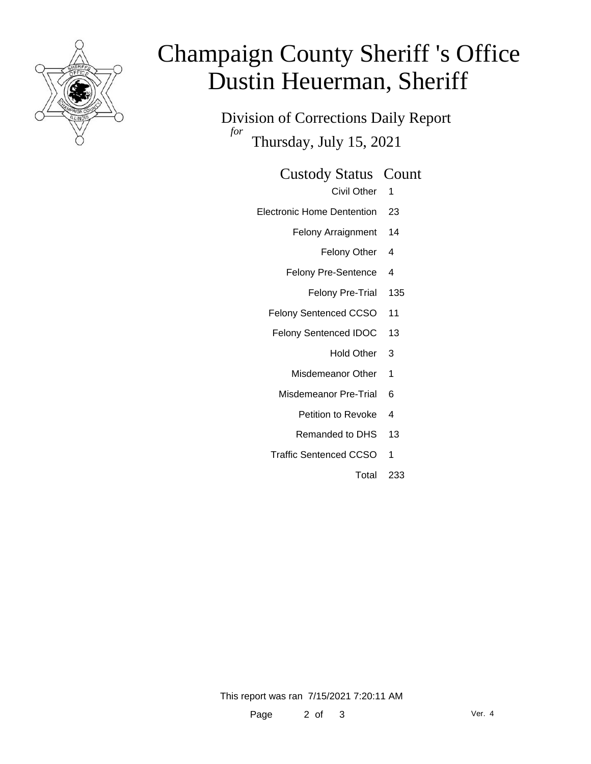

# Champaign County Sheriff 's Office Dustin Heuerman, Sheriff

Division of Corrections Daily Report *for* Thursday, July 15, 2021

### Custody Status Count

- Civil Other 1
- Electronic Home Dentention 23
	- Felony Arraignment 14
		- Felony Other 4
	- Felony Pre-Sentence 4
		- Felony Pre-Trial 135
	- Felony Sentenced CCSO 11
	- Felony Sentenced IDOC 13
		- Hold Other 3
		- Misdemeanor Other 1
		- Misdemeanor Pre-Trial 6
			- Petition to Revoke 4
			- Remanded to DHS 13
	- Traffic Sentenced CCSO 1
		- Total 233

This report was ran 7/15/2021 7:20:11 AM